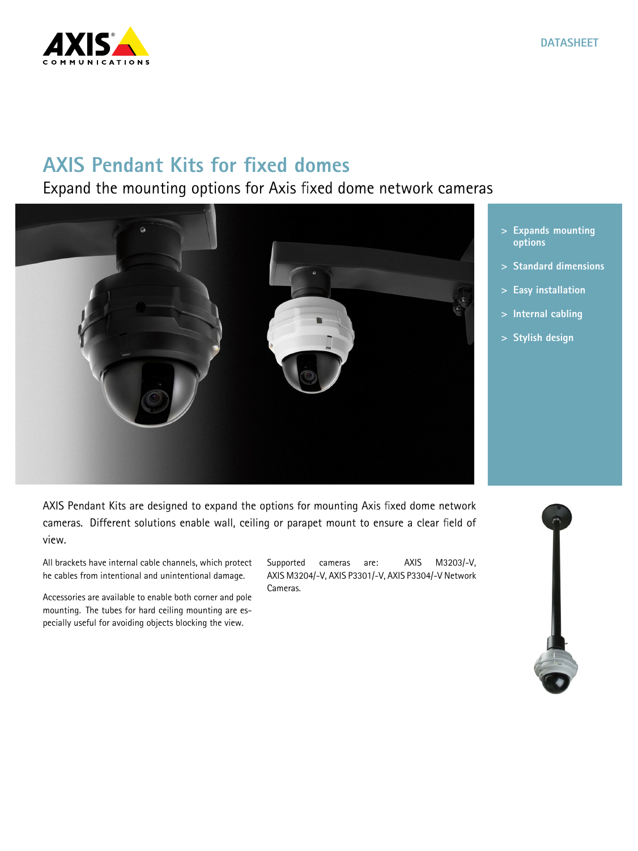

## **AXIS Pendant Kits for fixed domes**

## Expand the mounting options for Axis fixed dome network cameras



- **<sup>&</sup>gt; Expands mounting options**
- **<sup>&</sup>gt; Standard dimensions**
- **<sup>&</sup>gt; Easy installation**
- **<sup>&</sup>gt; Internal cabling**
- **<sup>&</sup>gt; Stylish design**

AXIS Pendant Kits are designed to expand the options for mounting Axis fixed dome network cameras. Different solutions enable wall, ceiling or parapet mount to ensure <sup>a</sup> clear field of view.

All brackets have internal cable channels, which protect he cables from intentional and unintentional damage.

Accessories are available to enable both corner and pole mounting. The tubes for hard ceiling mounting are especially useful for avoiding objects blocking the view.

Supported cameras are: AXIS M3203/-V, AXIS M3204/-V, AXIS P3301/-V, AXIS P3304/-V Network Cameras.